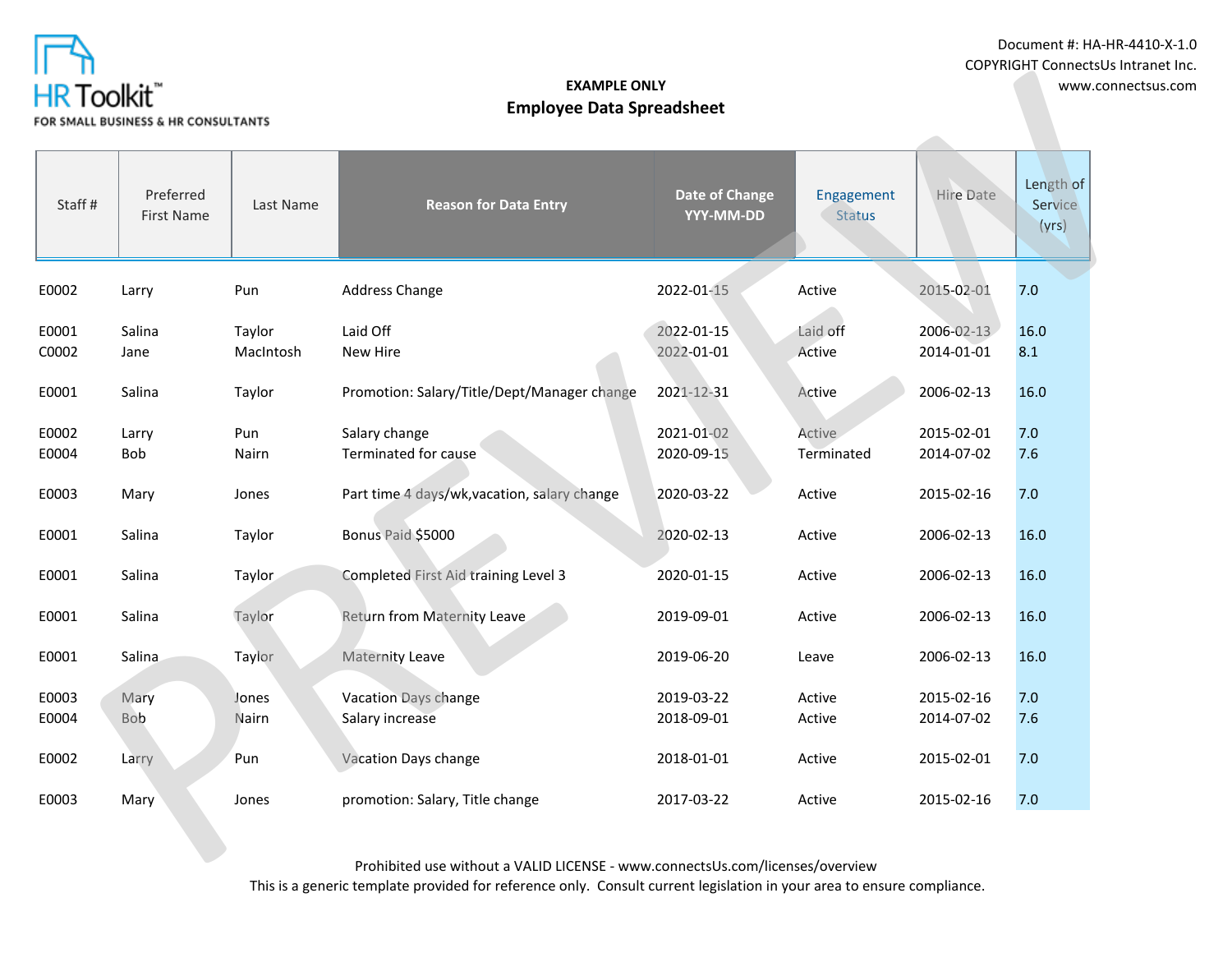

| .<br><b>HR Toolkit</b> ™<br>FOR SMALL BUSINESS & HR CONSULTANTS |                                      |                     | <b>EXAMPLE ONLY</b><br><b>Employee Data Spreadsheet</b> | www.connectsus.com          |                             |                          |                               |  |
|-----------------------------------------------------------------|--------------------------------------|---------------------|---------------------------------------------------------|-----------------------------|-----------------------------|--------------------------|-------------------------------|--|
| Staff#                                                          | Preferred<br>Last Name<br>First Name |                     | <b>Reason for Data Entry</b>                            | Date of Change<br>YYY-MM-DD | Engagement<br><b>Status</b> | Hire Date                | Length of<br>Service<br>(yrs) |  |
| E0002                                                           | Larry                                | Pun                 | <b>Address Change</b>                                   | 2022-01-15                  | Active                      | 2015-02-01               | 7.0                           |  |
| E0001<br>C0002                                                  | Salina<br>Jane                       | Taylor<br>MacIntosh | Laid Off<br>New Hire                                    | 2022-01-15<br>2022-01-01    | Laid off<br>Active          | 2006-02-13<br>2014-01-01 | 16.0<br>8.1                   |  |
| E0001                                                           | Salina                               | Taylor              | Promotion: Salary/Title/Dept/Manager change             | 2021-12-31                  | Active                      | 2006-02-13               | 16.0                          |  |
| E0002<br>E0004                                                  | Larry<br>Bob                         | Pun<br>Nairn        | Salary change<br>Terminated for cause                   | 2021-01-02<br>2020-09-15    | Active<br>Terminated        | 2015-02-01<br>2014-07-02 | 7.0<br>7.6                    |  |
| E0003                                                           | Mary                                 | Jones               | Part time 4 days/wk, vacation, salary change            | 2020-03-22                  | Active                      | 2015-02-16               | 7.0                           |  |
| E0001                                                           | Salina                               | Taylor              | Bonus Paid \$5000                                       | 2020-02-13                  | Active                      | 2006-02-13               | 16.0                          |  |
| E0001                                                           | Salina                               | Taylor              | Completed First Aid training Level 3                    | 2020-01-15                  | Active                      | 2006-02-13               | 16.0                          |  |
| E0001                                                           | Salina                               | Taylor              | Return from Maternity Leave                             | 2019-09-01                  | Active                      | 2006-02-13               | 16.0                          |  |
| E0001                                                           | Salina                               | Taylor              | Maternity Leave                                         | 2019-06-20                  | Leave                       | 2006-02-13               | 16.0                          |  |
| E0003<br>E0004                                                  | Mary<br><b>Bob</b>                   | Jones<br>Nairn      | Vacation Days change<br>Salary increase                 | 2019-03-22<br>2018-09-01    | Active<br>Active            | 2015-02-16<br>2014-07-02 | 7.0<br>7.6                    |  |
| E0002                                                           | Larry                                | Pun                 | Vacation Days change                                    | 2018-01-01                  | Active                      | 2015-02-01               | 7.0                           |  |
| E0003                                                           | Mary                                 | Jones               | promotion: Salary, Title change                         | 2017-03-22                  | Active                      | 2015-02-16               | 7.0                           |  |
|                                                                 |                                      |                     |                                                         |                             |                             |                          |                               |  |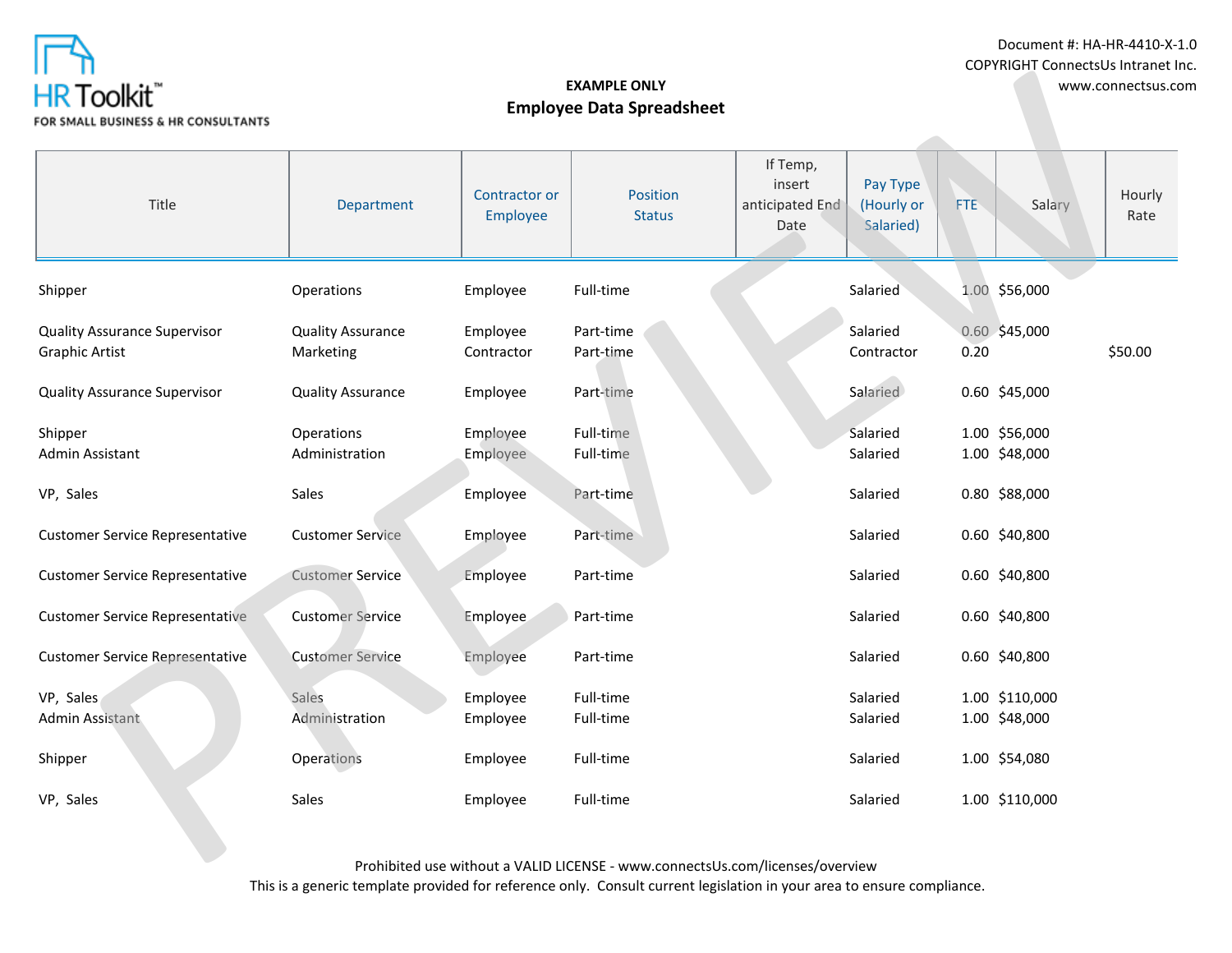

Document #: HA-HR-4410-X-1.0 COPYRIGHT ConnectsUs Intranet Inc.

| .<br>HR Toolkit <sup>*</sup><br>OR SMALL BUSINESS & HR CONSULTANTS | <b>EXAMPLE ONLY</b><br><b>Employee Data Spreadsheet</b> |                           |                                                                                                                                                               |                                               |                                     |            | www.connectsus.com              |                |  |
|--------------------------------------------------------------------|---------------------------------------------------------|---------------------------|---------------------------------------------------------------------------------------------------------------------------------------------------------------|-----------------------------------------------|-------------------------------------|------------|---------------------------------|----------------|--|
| Title                                                              | Department                                              | Contractor or<br>Employee | Position<br><b>Status</b>                                                                                                                                     | If Temp,<br>insert<br>anticipated End<br>Date | Pay Type<br>(Hourly or<br>Salaried) | <b>FTE</b> | Salary                          | Hourly<br>Rate |  |
| Shipper                                                            | Operations                                              | Employee                  | Full-time                                                                                                                                                     |                                               | Salaried                            |            | 1.00 \$56,000                   |                |  |
| <b>Quality Assurance Supervisor</b><br><b>Graphic Artist</b>       | <b>Quality Assurance</b><br>Marketing                   | Employee<br>Contractor    | Part-time<br>Part-time                                                                                                                                        |                                               | Salaried<br>Contractor              | 0.20       | 0.60 \$45,000                   | \$50.00        |  |
| <b>Quality Assurance Supervisor</b>                                | <b>Quality Assurance</b>                                | Employee                  | Part-time                                                                                                                                                     |                                               | Salaried                            |            | 0.60 \$45,000                   |                |  |
| Shipper<br>Admin Assistant                                         | Operations<br>Administration                            | Employee<br>Employee      | Full-time<br>Full-time                                                                                                                                        |                                               | Salaried<br>Salaried                |            | 1.00 \$56,000<br>1.00 \$48,000  |                |  |
| VP, Sales                                                          | Sales                                                   | Employee                  | Part-time                                                                                                                                                     |                                               | Salaried                            |            | 0.80 \$88,000                   |                |  |
| <b>Customer Service Representative</b>                             | <b>Customer Service</b>                                 | Employee                  | Part-time                                                                                                                                                     |                                               | Salaried                            |            | 0.60 \$40,800                   |                |  |
| <b>Customer Service Representative</b>                             | <b>Customer Service</b>                                 | Employee                  | Part-time                                                                                                                                                     |                                               | Salaried                            |            | 0.60 \$40,800                   |                |  |
| <b>Customer Service Representative</b>                             | <b>Customer Service</b>                                 | Employee                  | Part-time                                                                                                                                                     |                                               | Salaried                            |            | 0.60 \$40,800                   |                |  |
| <b>Customer Service Representative</b>                             | <b>Customer Service</b>                                 | Employee                  | Part-time                                                                                                                                                     |                                               | Salaried                            |            | 0.60 \$40,800                   |                |  |
| VP, Sales<br>Admin Assistant                                       | Sales<br>Administration                                 | Employee<br>Employee      | Full-time<br>Full-time                                                                                                                                        |                                               | Salaried<br>Salaried                |            | 1.00 \$110,000<br>1.00 \$48,000 |                |  |
| Shipper                                                            | Operations                                              | Employee                  | Full-time                                                                                                                                                     |                                               | Salaried                            |            | 1.00 \$54,080                   |                |  |
| VP, Sales                                                          | Sales                                                   | Employee                  | Full-time                                                                                                                                                     |                                               | Salaried                            |            | 1.00 \$110,000                  |                |  |
|                                                                    |                                                         |                           | $D_{\text{total}}$ , the final contract of $\mathcal{L}$ (ALLID LIGENICE ) contract a contract later $\mathcal{L}$ (the contract $\mathcal{L}_{\text{total}}$ |                                               |                                     |            |                                 |                |  |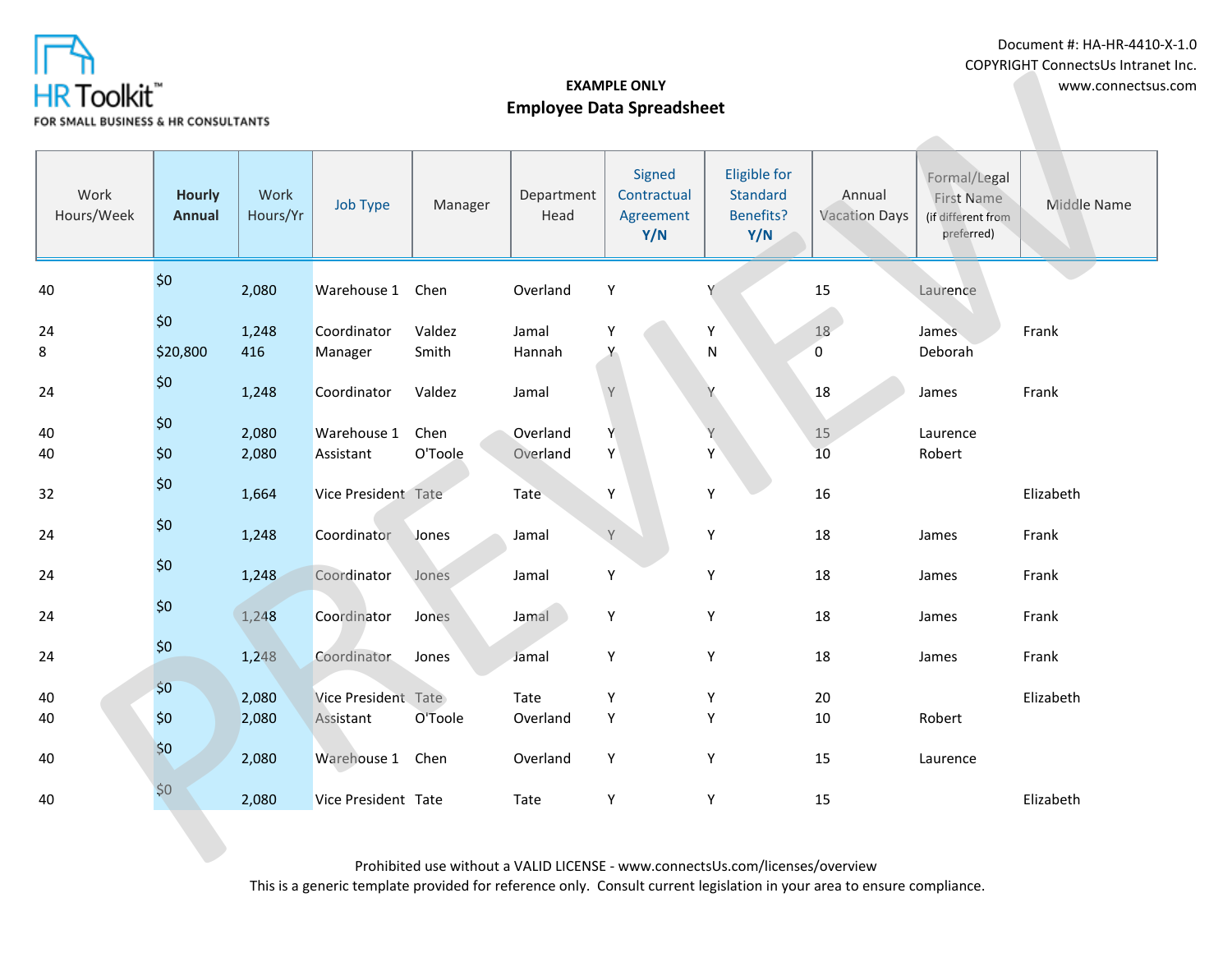

Document #: HA-HR-4410-X-1.0 COPYRIGHT ConnectsUs Intranet Inc.

| .<br>HR Toolkit <sup>®</sup><br>OR SMALL BUSINESS & HR CONSULTANTS |                                |                  | <b>EXAMPLE ONLY</b><br><b>Employee Data Spreadsheet</b> |                                                                          |                      |                                           |                                                            |                         | www.connectsus.com                                             |             |
|--------------------------------------------------------------------|--------------------------------|------------------|---------------------------------------------------------|--------------------------------------------------------------------------|----------------------|-------------------------------------------|------------------------------------------------------------|-------------------------|----------------------------------------------------------------|-------------|
| Work<br>Hours/Week                                                 | <b>Hourly</b><br><b>Annual</b> | Work<br>Hours/Yr | Job Type                                                | Manager                                                                  | Department<br>Head   | Signed<br>Contractual<br>Agreement<br>Y/N | <b>Eligible for</b><br>Standard<br><b>Benefits?</b><br>Y/N | Annual<br>Vacation Days | Formal/Legal<br>First Name<br>(if different from<br>preferred) | Middle Name |
| 40                                                                 | \$0                            | 2,080            | Warehouse 1                                             | Chen                                                                     | Overland             | Υ                                         | Υ                                                          | 15                      | Laurence                                                       |             |
| 24<br>8                                                            | \$0\$<br>\$20,800              | 1,248<br>416     | Coordinator<br>Manager                                  | Valdez<br>Smith                                                          | Jamal<br>Hannah      | Y                                         | Υ<br>${\sf N}$                                             | 18<br>$\overline{0}$    | <b>James</b><br>Deborah                                        | Frank       |
| 24                                                                 | \$0                            | 1,248            | Coordinator                                             | Valdez                                                                   | Jamal                | Y                                         |                                                            | 18                      | James                                                          | Frank       |
| 40<br>40                                                           | \$0<br>\$0                     | 2,080<br>2,080   | Warehouse 1<br>Assistant                                | Chen<br>O'Toole                                                          | Overland<br>Overland | Y<br>Υ                                    | Υ<br>Y                                                     | 15<br>10                | Laurence<br>Robert                                             |             |
| 32                                                                 | \$0                            | 1,664            | Vice President Tate                                     |                                                                          | Tate                 | Υ                                         | Υ                                                          | 16                      |                                                                | Elizabeth   |
| 24                                                                 | $$0$$                          | 1,248            | Coordinator                                             | Jones                                                                    | Jamal                | Y                                         | Υ                                                          | 18                      | James                                                          | Frank       |
| 24                                                                 | \$0\$                          | 1,248            | Coordinator                                             | Jones                                                                    | Jamal                | Y                                         | Υ                                                          | 18                      | James                                                          | Frank       |
| 24                                                                 | \$0                            | 1,248            | Coordinator                                             | Jones                                                                    | Jamal                | Υ                                         | Y                                                          | 18                      | James                                                          | Frank       |
| 24                                                                 | \$0\$                          | 1,248            | Coordinator                                             | Jones                                                                    | Jamal                | Υ                                         | Υ                                                          | 18                      | James                                                          | Frank       |
| 40<br>40                                                           | \$0\$<br>\$0                   | 2,080<br>2,080   | Vice President Tate<br>Assistant                        | O'Toole                                                                  | Tate<br>Overland     | Υ<br>Υ                                    | Υ<br>Y                                                     | 20<br>10                | Robert                                                         | Elizabeth   |
| 40                                                                 | \$0                            | 2,080            | Warehouse 1                                             | Chen                                                                     | Overland             | Υ                                         | Υ                                                          | 15                      | Laurence                                                       |             |
| 40                                                                 | \$0                            | 2,080            | Vice President Tate                                     |                                                                          | Tate                 | Υ                                         | Υ                                                          | 15                      |                                                                | Elizabeth   |
|                                                                    |                                |                  |                                                         | $D_{\text{total}}$ between the contractors of $M$ and $D$ in $D$ $D$ $D$ |                      |                                           |                                                            |                         |                                                                |             |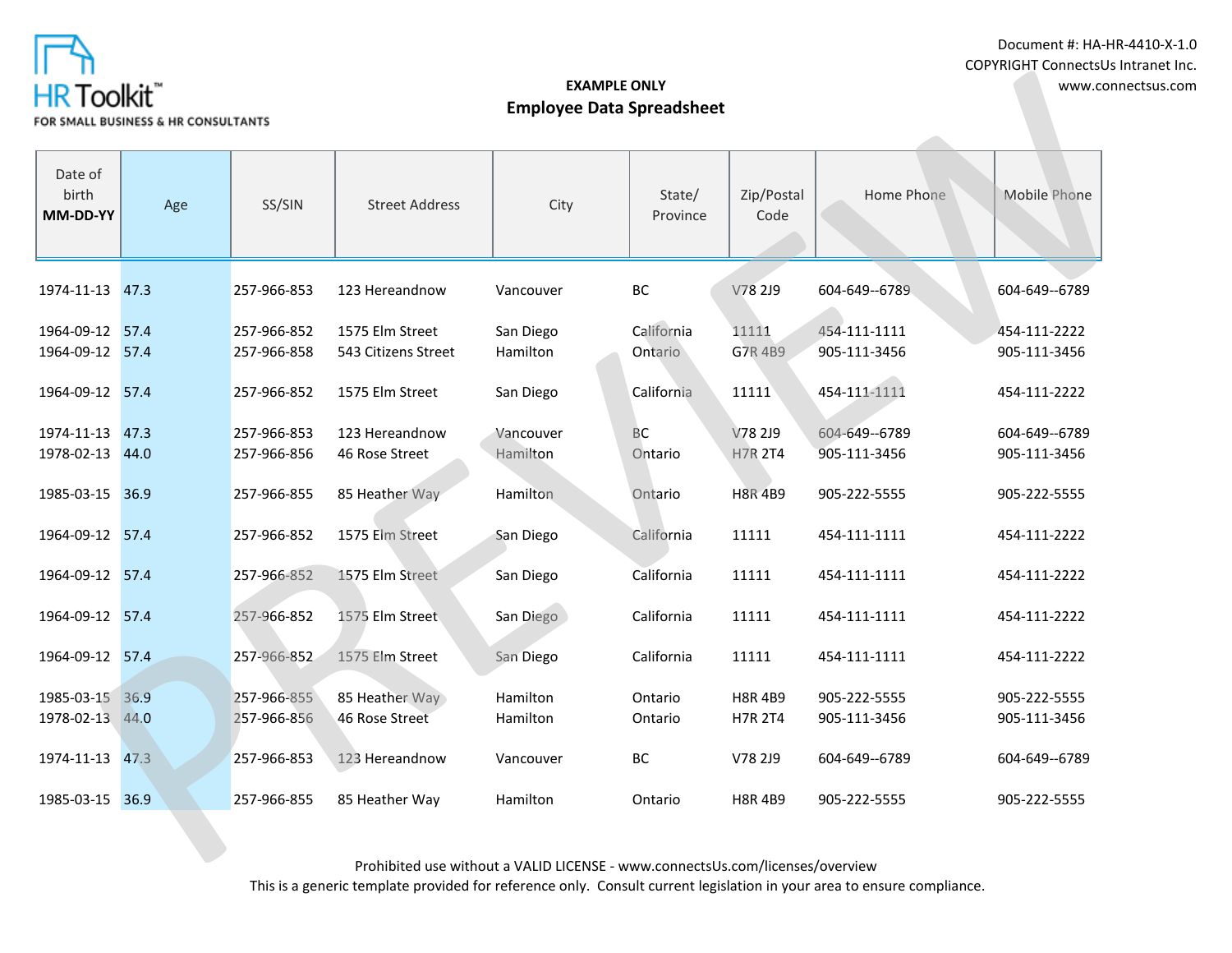

| HR Toolkit"<br>FOR SMALL BUSINESS & HR CONSULTANTS |      |             |                                                                                                                                                                                                                                                                                          |           | www.connectsus.com     |                    |               |               |
|----------------------------------------------------|------|-------------|------------------------------------------------------------------------------------------------------------------------------------------------------------------------------------------------------------------------------------------------------------------------------------------|-----------|------------------------|--------------------|---------------|---------------|
| Date of<br>birth<br>MM-DD-YY                       | Age  | SS/SIN      | <b>Street Address</b>                                                                                                                                                                                                                                                                    | City      | State/<br>Province     | Zip/Postal<br>Code | Home Phone    | Mobile Phone  |
| 1974-11-13                                         | 47.3 | 257-966-853 | 123 Hereandnow                                                                                                                                                                                                                                                                           | Vancouver | BC                     | V78 2J9            | 604-649--6789 | 604-649--6789 |
| 1964-09-12 57.4                                    |      | 257-966-852 | 1575 Elm Street                                                                                                                                                                                                                                                                          | San Diego | California             | 11111              | 454-111-1111  | 454-111-2222  |
| 1964-09-12 57.4                                    |      | 257-966-858 | 543 Citizens Street                                                                                                                                                                                                                                                                      | Hamilton  | Ontario                | G7R 4B9            | 905-111-3456  | 905-111-3456  |
| 1964-09-12 57.4                                    |      | 257-966-852 | 1575 Elm Street                                                                                                                                                                                                                                                                          | San Diego | California             | 11111              | 454-111-1111  | 454-111-2222  |
| 1974-11-13 47.3                                    |      | 257-966-853 | 123 Hereandnow                                                                                                                                                                                                                                                                           | Vancouver | $\mathsf{B}\mathsf{C}$ | V78 2J9            | 604-649--6789 | 604-649--6789 |
| 1978-02-13 44.0                                    |      | 257-966-856 | 46 Rose Street                                                                                                                                                                                                                                                                           | Hamilton  | Ontario                | <b>H7R 2T4</b>     | 905-111-3456  | 905-111-3456  |
| 1985-03-15 36.9                                    |      | 257-966-855 | 85 Heather Way                                                                                                                                                                                                                                                                           | Hamilton  | Ontario                | <b>H8R 4B9</b>     | 905-222-5555  | 905-222-5555  |
| 1964-09-12 57.4                                    |      | 257-966-852 | 1575 Elm Street                                                                                                                                                                                                                                                                          | San Diego | California             | 11111              | 454-111-1111  | 454-111-2222  |
| 1964-09-12 57.4                                    |      | 257-966-852 | 1575 Elm Street                                                                                                                                                                                                                                                                          | San Diego | California             | 11111              | 454-111-1111  | 454-111-2222  |
| 1964-09-12 57.4                                    |      | 257-966-852 | 1575 Elm Street                                                                                                                                                                                                                                                                          | San Diego | California             | 11111              | 454-111-1111  | 454-111-2222  |
| 1964-09-12 57.4                                    |      | 257-966-852 | 1575 Elm Street                                                                                                                                                                                                                                                                          | San Diego | California             | 11111              | 454-111-1111  | 454-111-2222  |
| 1985-03-15 36.9                                    |      | 257-966-855 | 85 Heather Way                                                                                                                                                                                                                                                                           | Hamilton  | Ontario                | <b>H8R 4B9</b>     | 905-222-5555  | 905-222-5555  |
| 1978-02-13 44.0                                    |      | 257-966-856 | 46 Rose Street                                                                                                                                                                                                                                                                           | Hamilton  | Ontario                | <b>H7R 2T4</b>     | 905-111-3456  | 905-111-3456  |
| 1974-11-13 47.3                                    |      | 257-966-853 | 123 Hereandnow                                                                                                                                                                                                                                                                           | Vancouver | BC                     | V78 2J9            | 604-649--6789 | 604-649--6789 |
| 1985-03-15 36.9                                    |      | 257-966-855 | 85 Heather Way                                                                                                                                                                                                                                                                           | Hamilton  | Ontario                | <b>H8R4B9</b>      | 905-222-5555  | 905-222-5555  |
|                                                    |      |             | $D_{12}$ biblications with $\sim$ $\mu$ $\sim$ $\mu$ $\sim$ $\mu$ $\sim$ $\mu$ $\sim$ $\mu$ $\sim$ $\mu$ $\sim$ $\mu$ $\sim$ $\mu$ $\sim$ $\mu$ $\sim$ $\mu$ $\sim$ $\mu$ $\sim$ $\mu$ $\sim$ $\mu$ $\sim$ $\mu$ $\sim$ $\mu$ $\sim$ $\mu$ $\sim$ $\mu$ $\sim$ $\mu$ $\sim$ $\mu$ $\sim$ |           |                        |                    |               |               |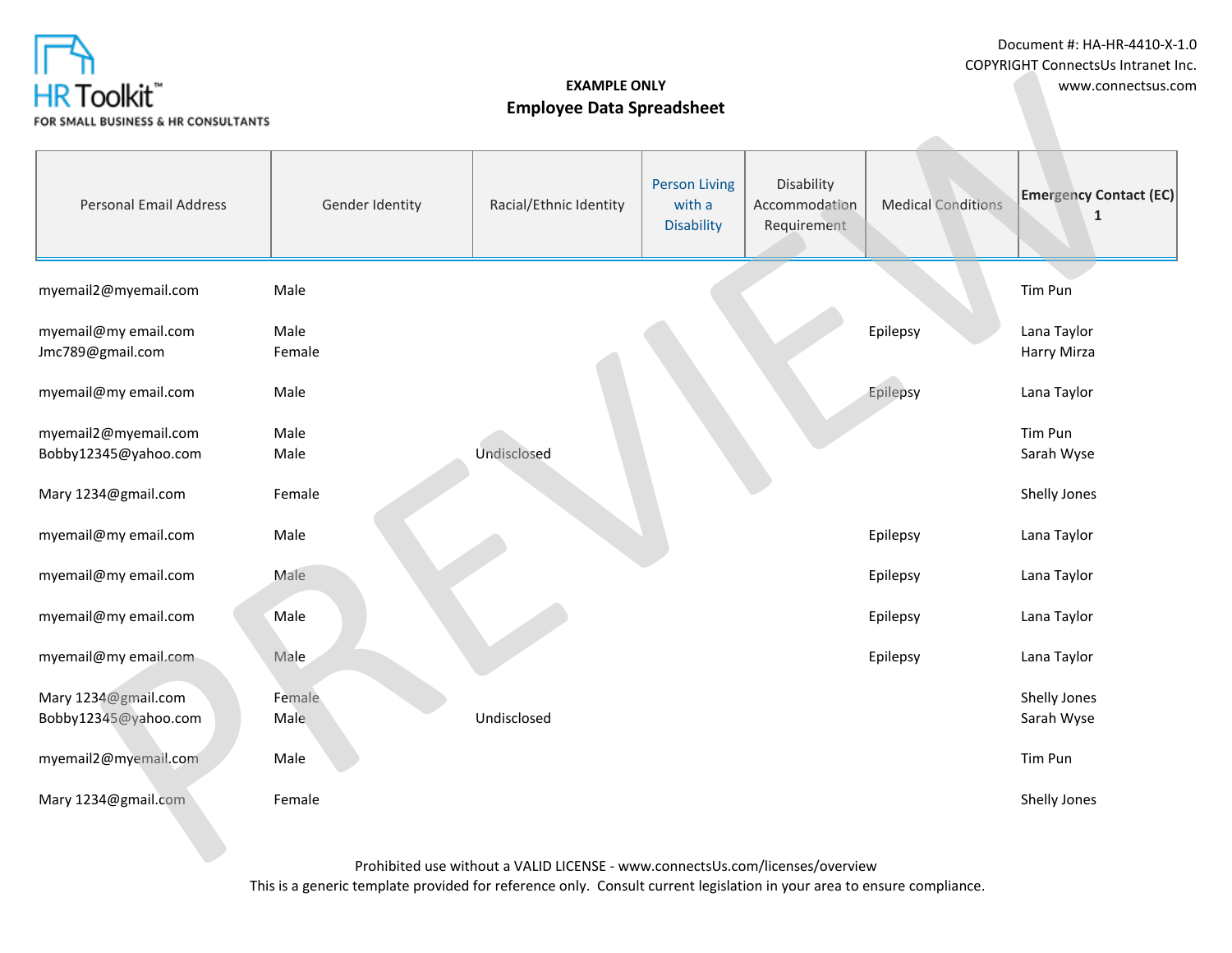

Document #: HA-HR-4410-X-1.0 COPYRIGHT ConnectsUs Intranet Inc.

| .<br>HR Toolkit"<br>FOR SMALL BUSINESS & HR CONSULTANTS |                 | www.connectsus.com                                                                 |                                                     |                                            |                           |                                    |
|---------------------------------------------------------|-----------------|------------------------------------------------------------------------------------|-----------------------------------------------------|--------------------------------------------|---------------------------|------------------------------------|
| <b>Personal Email Address</b>                           | Gender Identity | Racial/Ethnic Identity                                                             | <b>Person Living</b><br>with a<br><b>Disability</b> | Disability<br>Accommodation<br>Requirement | <b>Medical Conditions</b> | <b>Emergency Contact (EC)</b><br>1 |
| myemail2@myemail.com                                    | Male            |                                                                                    |                                                     |                                            |                           | Tim Pun                            |
| myemail@my email.com<br>Jmc789@gmail.com                | Male<br>Female  |                                                                                    |                                                     |                                            | Epilepsy                  | Lana Taylor<br>Harry Mirza         |
| myemail@my email.com                                    | Male            |                                                                                    |                                                     |                                            | Epilepsy                  | Lana Taylor                        |
| myemail2@myemail.com<br>Bobby12345@yahoo.com            | Male<br>Male    | Undisclosed                                                                        |                                                     |                                            |                           | Tim Pun<br>Sarah Wyse              |
| Mary 1234@gmail.com                                     | Female          |                                                                                    |                                                     |                                            |                           | Shelly Jones                       |
| myemail@my email.com                                    | Male            |                                                                                    |                                                     |                                            | Epilepsy                  | Lana Taylor                        |
| myemail@my email.com                                    | Male            |                                                                                    |                                                     |                                            | Epilepsy                  | Lana Taylor                        |
| myemail@my email.com                                    | Male            |                                                                                    |                                                     |                                            | Epilepsy                  | Lana Taylor                        |
| myemail@my email.com                                    | Male            |                                                                                    |                                                     |                                            | Epilepsy                  | Lana Taylor                        |
| Mary 1234@gmail.com<br>Bobby12345@yahoo.com             | Female<br>Male  | Undisclosed                                                                        |                                                     |                                            |                           | Shelly Jones<br>Sarah Wyse         |
| myemail2@myemail.com                                    | Male            |                                                                                    |                                                     |                                            |                           | Tim Pun                            |
| Mary 1234@gmail.com                                     | Female          |                                                                                    |                                                     |                                            |                           | Shelly Jones                       |
|                                                         |                 | $D_{\text{max}}$ is the final conditional contract of $\lambda$ (AT IID THOENICE). |                                                     |                                            |                           |                                    |

Prohibited use without a VALID LICENSE - www.connectsUs.com/licenses/overview

This is a generic template provided for reference only. Consult current legislation in your area to ensure compliance.